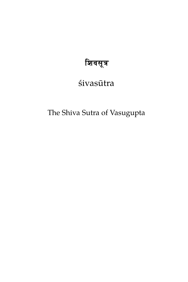# शिवसूत्र

# śivasūtra

The Shiva Sutra of Vasugupta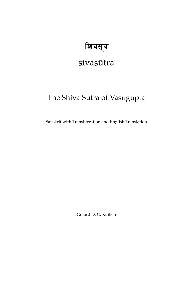# शिवसूत्र

# śivasūtra

# The Shiva Sutra of Vasugupta

Sanskrit with Transliteration and English Translation

Gerard D. C. Kuiken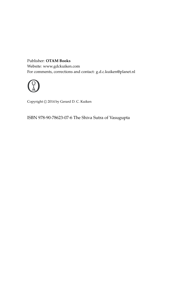#### Publisher: **OTAM Books** Website: www.gdckuiken.com For comments, corrections and contact: g.d.c.kuiken@planet.nl



Copyright  $\odot$  2014 by Gerard D. C. Kuiken

ISBN 978-90-78623-07-6 The Shiva Sutra of Vasugupta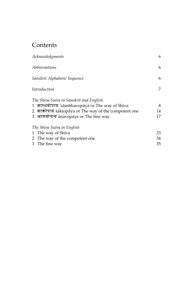## **Contents**

| Acknowledgments                                       | 6      |
|-------------------------------------------------------|--------|
| Abbreviations<br>Sanskrit Alphabetic Sequence         | 6<br>6 |
|                                                       |        |
| The Shiva Sutra in Sanskrit and English               |        |
| 1 शाम्भवोपाय 'sāmbhavopāya or The way of Shiva        | 8      |
| 2 शाक्तोपाय saktopaya or The way of the competent one | 14     |
| 3 आणवोपाय ānavopāya or The fine way                   | 17     |
| The Shiva Sutra in English                            |        |
| 1 The way of Shiva                                    | 33     |
| 2 The way of the competent one                        | 34     |
| 3 The fine way                                        | 35     |
|                                                       |        |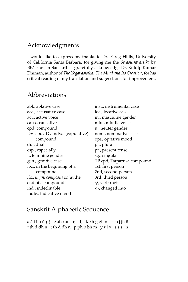### Acknowledgments

I would like to express my thanks to Dr. Greg Hillis, University of California Santa Barbara, for giving me the *Śivasūtravārtika* by Bhaskara in Sanskrit. I gratefully acknowledge Dr. Kuldip Kumar ¯ Dhiman, author of *The Yogavasis ¯ . t.ha: The Mind and Its Creation*, for his critical reading of my translation and suggestions for improvement.

#### Abbreviations

abl., ablative case acc., accusative case act., active voice caus., causative cpd, compound DV cpd, Dvandva (copulative) compound du., dual esp., especially f., feminine gender gen., genitive case ibc., in the beginning of a compound ifc., *in fini compositi* or 'at the end of a compound' ind., indeclinable indic., indicative mood

inst., instrumental case loc., locative case m., masculine gender mid., middle voice n., neuter gender nom., nominative case opt., optative mood pl., plural pr., present tense sg., singular TP cpd, Tatparus, compound. 1st, first person 2nd, second person 3rd, third person √  $\sqrt{ }$ , verb root ->, changed into

### Sanskrit Alphabetic Sequence

 $\,$ aāiī $\,$ u $\,$ ū $\,$ r $\,$ ī $\,$ ļeaio $\,$ au $\,$ m $\,$ h $\,$ k $\,$ k $\,$ k $\,$ k $\,$ g $\,$ ghn $\,$ c $\,$ chj $\,$ jh $\,$ ñ t. t.h d. d. h n. t th d dh n p ph b bh m y r l v s ś s. h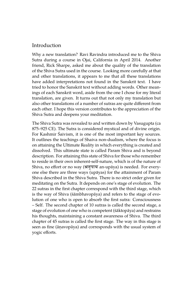#### Introduction

Why a new translation? Ravi Ravindra introduced me to the Shiva Sutra during a course in Ojai, California in April 2014. Another friend, Rick Sharpe, asked me about the quality of the translation of the Shiva Sutra used in the course. Looking more carefully at that and other translations, it appears to me that all these translations have added interpretations not found in the Sanskrit text. I have tried to honor the Sanskrit text without adding words. Other meanings of each Sanskrit word, aside from the one I chose for my literal translation, are given. It turns out that not only my translation but also other translations of a number of sutras are quite different from each other. I hope this version contributes to the appreciation of the Shiva Sutra and deepens your meditation.

The Shiva Sutra was revealed to and written down by Vasugupta (ca 875–925 CE). The Sutra is considered mystical and of divine origin. For Kashmir Śaivism, it is one of the most important key sources. It outlines the teachings of Shaiva non-dualism, where the focus is on attaining the Ultimate Reality in which everything is created and dissolved. This ultimate state is called Param Shiva and is beyond description. For attaining this state of Shiva for those who remember to reside in their own inherent-self-nature, which is of the nature of Shiva, no effort or no way (अनुपाय an-upaya) is needed. For everyone else there are three ways (upayas) for the attainment of Param ¯ Shiva described in the Shiva Sutra. There is no strict order given for meditating on the Sutra. It depends on one's stage of evolution. The 22 sutras in the first chapter correspond with the third stage, which is the way of Shiva (śāmbhavopāya) and refers to the stage of evolution of one who is open to absorb the first sutra: Consciousness – Self. The second chapter of 10 sutras is called the second stage, a stage of evolution of one who is competent (śāktopāya) and restrains his thoughts, maintaining a constant awareness of Shiva. The third chapter of 45 sutras is called the first stage. The way in this stage is seen as fine (anavopaya) and corresponds with the usual system of yogic efforts.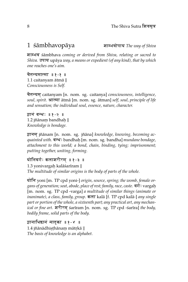### 1 sambhavopaya **वाम्भवोपाय** The way of Shiva

fAMBv śambhava ¯ *coming or derived from Shiva, relating or sacred to Shiva.* उपाय upaya *way, a means or expedient (of any kind), that by which one reaches one's aim.*

चैतन्यमात्मा ॥१-१ ॥ 1.1 caitanyam ātmā || *Consciousness is Self.*

c{tym^ caitanyam [n. nom. sg. caitanya] *consciousness, intelligence, soul, spirit.* आत्मा ātmā [m. nom. sg. ātman] self, soul, principle of life *and sensation; the individual soul, essence, nature, character.*

झानं बन्धः ॥१-२ ॥  $1.2$  jñānaṃ bandhaḥ  $\parallel$ *Knowledge is bondage.*

ज्ञानम् jñānam [n. nom. sg. jñāna] knowledge, knowing, becoming acq*uainted with.* बन्धः bandhaḥ [m. nom. sg. bandha] *mundane bondage, attachment to this world; a bond, chain, binding, tying; imprisonment; putting together, uniting, forming.*

#### योनिवर्गः कलाशरीरम ॥१-३ ॥

1.3 yonivargah kalāśarīram || *The multitude of similar origins is the body of parts of the whole.*

योनि yoni [m. TP cpd yoni-] *origin, source, spring; the womb, female organs of generation; seat, abode, place of rest; family, race, caste.*  $\overline{a}$ *i* : vargah. [m. nom. sg. TP cpd -varga] *a multitude of similar things (animate or inanimate), a class, family, group.* कला kalā [f. TP cpd kalā-] *any single part or portion of the whole, a sixteenth part; any practical art, any mechanical or fine art.* शरीरम śarīram [n. nom. sg. TP cpd -śarīra] *the body, bodily frame, solid parts of the body.*

झानाधिष्ठानं मातृका ॥१-४ ।  $1.4$  jñānādhiṣṭhānaṃ mātṛkā  $\parallel$ *The basis of knowledge is an alphabet.*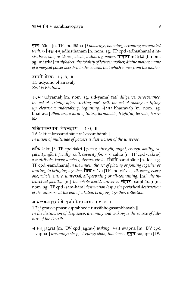इान jñāna [n. TP cpd jñāna-] knowledge, knowing, becoming acquainted  $with$ . अधिष्ठानम् adhis़thānam [n. nom. sg. TP cpd -adhis़thāna] *a ba* $s$ is*, base; site, residence, abode; authority, power*. मातृका mātṛkā [f. nom. sg. mātrkā] *an alphabet, the totality of letters; mother, divine mother, name of a magical power ascribed to the vowels; that which comes from the mother.*

उद्यमो भैरवः ॥१-५ ॥ 1.5 udyamo bhairavah. || *Zeal is Bhairava.*

उद्यम: udyamaḥ [m. nom. sg. ud-yama] *zeal, diligence, perseverance, the act of striving after, exerting one's self, the act of raising or lifting up, elevation; undertaking, beginning. भैर*व: bhairavaḥ [m. nom. sg. bhairava] *Bhairava, a form of Shiva; formidable, frightful, terrible, horrible.*

शक्तिचक्रसंधाने विश्वसंहारः ॥१-६ ॥  $1.6$  śakticakrasamdhāne viśvasamhāraḥ  $\parallel$ *In union of multitude of powers is destruction of the universe.*

fEÄ śakti [f. TP cpd śakti-] *power, strength, might, energy, ability, ca*pability, effort; faculty, skill, capacity for. चक्र cakra [n. TP cpd -cakra-] *a multitude, troop; a wheel, discus, circle.* संधाने samdhāne [n. loc. sg. TP cpd -samdhāna] in the union, the act of placing or joining together or *uniting; in bringing together.* Ev viśva [TP cpd viśva-] *all, every, every one; whole, entire, universal; all-pervading or all-containing.* [m.] *the intellectual faculty.* [n.] *the whole world, universe. सं*हारः samhāraḥ [m. nom. sg. TP cpd -sam. -hara] ¯ *destruction (esp.) the periodical destruction of the universe at the end of a kalpa; bringing together, collection.*

#### जाग्रत्स्वप्नसुप्रसभेदे तर्याभोगसम्भवः ॥१-७ ॥

 $1.7$  jāgratsvapnasusuptabhede turyābhogasambhavah  $\parallel$ *In the distinction of deep sleep, dreaming and waking is the source of fullness of the Fourth.*

जाग्रत jāgrat [m. DV cpd jāgrat-] *waking.* स्वप्न svapna [m. DV cpd -svapna-] *dreaming; sleep, sleeping; sloth, indolence*. सुषुप्त susupta [DV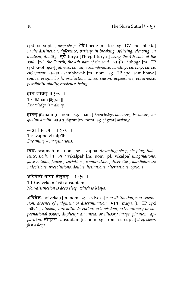cpd -su-supta-] *deep sleep*. भेदे bhede [m. loc. sg. DV cpd -bheda] *in the distinction, difference, variety; in breaking, splitting, cleaving; in* dualism, duality.  $\overline{d}$ <sup>*i*</sup> turya [TP cpd turya-] *being the 4th state of the soul.* [n.] *the Fourth, the 4th state of the soul.* आभोग abhoga [m. TP cpd -ā-bhoga-] fullness, circuit, circumference; winding, curving, curve; *enjoyment.* सम्भव: sambhavaḥ [m. nom. sg. TP cpd -sam-bhava] *source, origin, birth, production; cause, reason; appearance, occurrence; possibility, ability; existence, being.*

âAn\ jAg}t^ ; 1 - 8 ;  $1.8$  jñānaṃ jā $\operatorname{graf} \parallel$ *Knowledge is waking.*

ज्ञानम jñānam [n. nom. sg. jñāna] knowledge, knowing, becoming ac*quainted with.* जाग्रत jāgrat [m. nom. sg. jāgrat] waking.

स्वप्नो विकल्पाः ॥१-९ ॥ 1.9 svapno vikalpāḥ || *Dreaming – imaginations.*

स्वप्नः svapnah [m. nom. sg. svapna] *dreaming; sleep, sleeping; indolence, sloth. विकल्पाः vikalpāḥ* [m. nom. pl. vikalpa] *imaginations, false notions, fancies; variations, combinations, diversities, manifoldness; indecisions, irresolutions, doubts, hesitations; alternations, options.*

#### अविवेको माया सौषुप्तम ॥१-१० ॥

1.10 aviveko māyā sausuptam || *Non-distinction is deep sleep, which is Maya.*

अविवेकः avivekaḥ [m. nom. sg. a-viveka] *non-distinction, non-separation; absence of judgment or discrimination.* माया maya [f. TP cpd māyā-] *illusion, unreality, deception; art, wisdom, extraordinary or supernational power; duplicity; an unreal or illusory image, phantom, apparition.* सौषुप्तम् sausuptam [n. nom. sg. from -su-supta] *deep sleep; fast asleep.*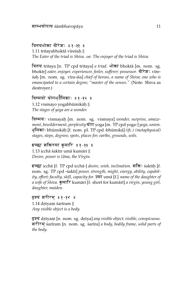त्रितयभोक्ता वीरेशः ॥१-११ ॥  $1.11$  tritayabhoktā vīreśaḥ  $\parallel$ *The Eater of the triad is Shiva.* or: *The enjoyer of the triad is Shiva.*

त्रितय tritaya [n. TP cpd tritaya] *a triad.* भोक्ता bhoktā [m. nom. sg. bhoktr] *eater, enjoyer, experiencer, feeler, sufferer; possessor. वीरेश*: vīreśah. [m. nom. sg. v¯ıra-iśa] *chief of heroes, a name of Shiva; one who is emancipated to a certain degree; "master of the senses."* (Note: Shiva as destroyer.)

### विस्मयो योगभ्<sup>डु</sup>मिकाः ॥१*-*१२ ।

 $1.12$  vismayo yogabhūmikāḥ  $\parallel$ *The stages of yoga are a wonder.*

विस्मयः vismayaḥ [m. nom. sg. vismaya] *wonder, surprise, amazement, bewilderment, perplexity* योग yoga [m. TP cpd yoga-] yoga, union. भूमिकाः bhūmikāḥ [f. nom. pl. TP cpd -bhūmikā] *(ifc.) (metaphysical) stages, steps, degrees; spots, places for; earths, grounds, soils.*

इच्छा शक्तिरुमा कुमारि ॥१-१३ ॥ 1.13 icchā śaktir umā kumāri || *Desire, power is Uma, the Virgin.*

इच्छा icchā [f. TP cpd icchā-] *desire, wish, inclination. शक्तिः ś*aktiḥ [f. nom. sg. TP cpd -śakti] *power, strength, might, energy, ability, capability, effort; faculty, skill, capacity for.*  $\overline{3}$   $\overline{4}$   $\overline{1}$   $\overline{1}$  and  $\overline{2}$   $\overline{1}$  *name of the daughter of a wife of Shiva.* कुमारि kumāri [f. short for kumārī] *a virgin, young girl, daughter, maiden.*

दृश्यं शरीरम् ॥१-१४ ।  $1.14$  drśyam śarīram  $\parallel$ *Any visible object is a body.*

दृश्यं drśyam [n. nom. sg. drśya] *any visible object; visible, conspicuous.* frFrm^ śar¯ıram [n. nom. sg. śar¯ıra] *a body, bodily frame, solid parts of the body.*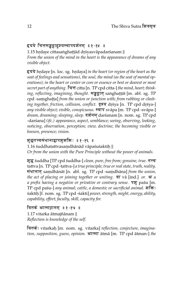#### हृदये चित्तसङ्घट्टाद्रश्यस्वापदर्शनम् ॥१-१५ ।

 $1.15$  hrdaye cittasanghattād drśyasvāpadarśanam  $\parallel$ *From the union of the mind in the heart is the appearance of dreams of any visible object.*

हृदये hrdaye [n. loc. sg. hrdaya] *in the heart (or region of the heart as the seat of feelings and sensations), the soul, the mind (as the seat of mental operations); in the heart or center or core or essence or best or dearest or most secret part of anything.* चित्त citta [n. TP cpd citta-] *the mind, heart; thinking, reflecting, imagining, thought.* सङ्गद्वात् sanghaṭṭāt [m. abl. sg. TP cpd -saṃghaṭṭa] *from the union or junction with; from rubbing or clash*ing together, friction, collision, conflict. <mark>दृश्य</mark> dṛśya [n. TP cpd dṛśya-] *any visible object; visible, conspicuous.* स्वाप svāpa [m. TP cpd -svāpa-] *dream, dreaming; sleeping, sleep.* दर्शनम darśanam [n. nom. sg. TP cpd -darśana] *(ifc.) appearance, aspect, semblance; seeing, observing, looking, noticing, observation, perception; view, doctrine; the becoming visible or known, presence; vision.*

#### शुद्धतत्त्वसंधानाद्वापशुशक्तिः ॥१-१६ ॥

 $1.16$  śuddhatattvasamdhānād vāpaśuśaktih  $\parallel$ *Or from the union with the Pure Principle without the power of animals.*

शुद्ध suddha [TP cpd suddha-] *clean, pure, free from; genuine, true.* तत्त्व tattva [n. TP cpd -tattva-] *a true principle; true or real state, truth, reality.* संधानात samdhānāt [n. abl. sg. TP cpd -samdhāna] *from the union, the act of placing or joining together or uniting.*  $\overline{q}$  va [ind.] *or.*  $\overline{r}$  a *a prefix having a negative or privative or contrary sense.* **49 paśu [m.** TP cpd paśu-] *any animal; cattle, a domestic or sacrificial animal.* शक्ति: śaktih. [f. nom. sg. TP cpd -śakti] *power, strength, might, energy, ability, capability, effort; faculty, skill, capacity for.*

वितर्क आत्मज्ञानम् ॥१-१७ ॥

1.17 vitarka ātmajñānam || *Reflection is knowledge of the self.*

वितर्कः vitarkaḥ [m. nom. sg. vitarka] *reflection, conjecture, imagination, supposition, guess, opinion.* आत्मा ātmā [m. TP cpd ātman-] the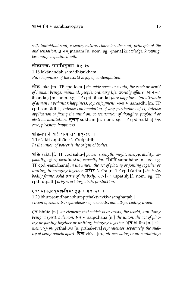*self, individual soul, essence, nature, character, the soul, principle of life and sensation.* ज्ञानम् jñānam [n. nom. sg. -jñāna] knowledge, knowing, *becoming acquainted with.*

लोकानन्दः समाधिसूखम् ॥१-१८ ॥ 1.18 lokānandaḥ samādhisukham || *Pure happiness of the world is joy of contemplation.*

lok loka [m. TP cpd loka-] *the wide space or world; the earth or world of human beings; mankind, people; ordinary life, worldly affairs.* आनन्द: ānandaḥ [m. nom. sg. TP cpd -ānanda] *pure happiness (an attribute of ātman in vedānta); happiness, joy, enjoyment. समाधि samādhi* [m. TP cpd sam-ādhi-] *intense contemplation of any particular object; intense application or fixing the mind on; concentration of thoughts, profound or* abstract meditation. सुखम sukham [n. nom. sg. TP cpd -sukha] joy, *ease, pleasure, happiness.*

शक्तिसंधाने शरीरोत्पत्तिः ॥१-१९ ॥  $1.19$  śaktisamdhāne śarīrotpattiņ $\parallel$ *In the union of power is the origin of bodies.*

fEÄ śakti [f. TP cpd śakti-] *power, strength, might, energy, ability, ca*pability, effort; faculty, skill, capacity for. संघाने samdhane [n. loc. sg. TP cpd -samdhāna] in the union, the act of placing or joining together or *uniting; in bringing together.* शरीर sarīra [n. TP cpd sarīra-] *the body*, *bodily frame, solid parts of the body. उ*त्पत्तिः utpattih [f. nom. sg. TP cpd -utpatti] *origin, arising, birth, production.*

भूतसंधानभूतपृ<mark>थत्कविश्वसङ्घट</mark>ाः ॥१*-*२० ।

 $1.20$  bhūtasaṃdhānabhūtapṛthaktvaviśvasaṅghaṭṭāḥ  $\parallel$ *Union of elements, separateness of elements, and all-pervading union.*

Bt bhuta [n.] ¯ *an element; that which is or exists, the world, any living being; a spirit, a demon.*  $\overline{$ HTT samdhāna [n.] *the union, the act of placing or joining together or uniting; bringing together. भूत bhūta [n.] element.* पृथत्क prthaktva [n. prthak-tva] separateness, separately, the qual*ity of being widely apart.* Ev viśva [m.] *all-pervading or all-containing;*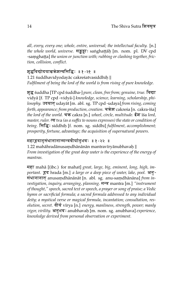*all, every, every one; whole, entire, universal; the intellectual faculty.* [n.] *the whole world, universe. सङ्घट्टाः sanghaṭṭāḥ [m. nom. pl. DV cpd* -saṃghaṭṭa] *the union or junction with; rubbing or clashing together, friction, collision, conflict.*

#### शुद्धविद्योदयाच्चऋेशत्वसिद्धिः ॥१-२१ ॥

1.21 śuddhavidyodayāc cakreśatvasiddhih  $\parallel$ *Fulfilment of being the lord of the world is from rising of pure knowledge.*

<u>शुद्ध</u> śuddha [TP cpd śuddha-] *pure, clean, free from; genuine, true*. विद्या vidyā [f. TP cpd -vidyā-] knowledge, science, learning, scholarship, phi*losophy.* उदयात् udayat [m. abl. sg. TP cpd -udaya] from rising, coming *forth, appearance; from production, creation.* चक्रेश cakreśa [n. cakra-īśa] *the lord of the world.* चक्र cakra [n.] *wheel, circle, multitude.* ईश *isa lord, master, ruler.*  $\overline{\mathbf{c}}$  tva (as a suffix to nouns expresses) the state or condition of  $being$ . सिद्धिः siddhih [f. nom. sg. siddhi] *fulfilment, accomplishment; prosperity, fortune, advantage; the acquisition of supernatural powers.*

#### महाहदानसंधानानान्मन्त्रवीर्यानभवः ॥१-२२ ॥

 $1.22$  mahāhradānusaṃdhānānān mantravīryānubhavaḥ  $\parallel$ *From investigation of the great deep water is the experience of the energy of mantras.*

महा mahā [(ibc.) for mahat] *great, large, big, eminent, long, high, important.*  $\overline{g}$  **d** hrada [m.] *a large or a deep piece of water, lake, pool.* अनु-संधानानात anusamdhānānāt [n. abl. sg. anu-samdhānāna] *from investigation, inquiry, arranging, planning.* m/ mantra [m.] *"instrument of thought," speech, sacred text or speech, a prayer or song of praise; a Vedic hymn or sacrificial formula; a sacred formula addressed to any individual deity; a mystical verse or magical formula, incantation; consultation, resolution, secret.*  $\widehat{\mathbf{q}}$   $\widehat{\mathbf{q}}$  vīrya [n.] *energy, manliness, strength, power; manly अनुभवः anubhavaḥ [m. nom. sg. anubhava] <i>experience, knowledge derived from personal observation or experiment.*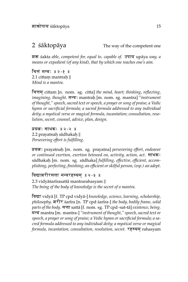$2 \,$   $\acute{s}$ a $\acute{k}$ topa $\acute{a}$   $\acute{a}$  and  $\acute{a}$  are  $\acute{a}$  and  $\acute{a}$  are  $\acute{a}$  and  $\acute{a}$  are  $\acute{a}$  and  $\acute{a}$  are  $\acute{a}$  and  $\acute{a}$  are  $\acute{a}$  and  $\acute{a}$  are  $\acute{a}$  and  $\acute{a}$  are  $\acute{a}$  and  $\acute{a}$  ar

शक्त *śakta able, competent for, equal to, capable of.* उपाय upāya *way, a means or expedient (of any kind), that by which one reaches one's aim.*

चित्तं मन्त्रः ॥२ -१ ॥ 2.1 cittam mantraḥ || *Mind is a mantra.*

चित्तम cittam [n. nom. sg. citta] *the mind, heart; thinking, reflecting,* i*magining, thought.* मन्त्र: mantraḥ [m. nom. sg. mantra] "i*nstrument of thought," speech, sacred text or speech, a prayer or song of praise; a Vedic hymn or sacrificial formula; a sacred formula addressed to any individual deity; a mystical verse or magical formula, incantation; consultation, resolution, secret, counsel, advice, plan, design.*

प्रयत्नः साधकः ॥ २ -२ ॥  $2.2$  prayatnaḥ sādhakaḥ  $\parallel$ *Persevering effort is fulfilling.*

प्र<mark>यत्न</mark>ः prayatnaḥ [m. nom. sg. prayatna] *persevering effort, endeavor or continued exertion, exertion betowed on, activity, action, act.* साधक: sādhakaḥ [m. nom. sg. sādhaka] *fulfilling, effective, efficient, accomplishing, perfecting, finishing; an efficient or skilful person, (esp.) an adept.*

#### विद्याशरीरसत्ता मन्त्ररहस्यम ॥२-३ ॥

2.3 vidyāśarīrasattā mantrarahasyam || *The being of the body of knowledge is the secret of a mantra.*

विद्या vidyā [f. TP cpd vidyā-] knowledge, science, learning, scholarship, *philosophy.* शरीर śarīra [n. TP cpd śarīra-] *the body, bodily frame, solid parts of the body.* सत्ता sattā [f. nom. sg. TP cpd -sat-tā] *existence, being.* m/ mantra [m. mantra-] *"instrument of thought," speech, sacred text or speech, a prayer or song of praise; a Vedic hymn or sacrificial formula; a sacred formula addressed to any individual deity; a mystical verse or magical formula, incantation; consultation, resolution, secret.* रहस्यम rahasyam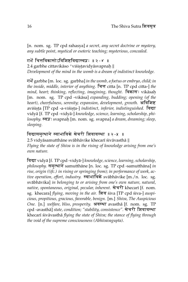[n. nom. sg. TP cpd rahasya] *a secret, any secret doctrine or mystery, any subtle point, mystical or esoteric teaching; mysterious, concealed.*

#### गर्भे चित्तविकासोऽविशिष्टविद्यास्वप्नः ॥२ -४ ॥

2.4 garbhe cittavikāso 'viśiṣṭavidyāsvapnaḥ || *Development of the mind in the womb is a dream of indistinct knowledge.*

gB garbhe [m. loc. sg. garbha] *in the womb, a foetus or embryo, child; in the inside, middle, interior of anything.* चित्त citta [n. TP cpd citta-] *the mind, heart; thinking, reflecting, imagining, thought.* विकास: vikāsah [m. nom. sg. TP cpd -vikāsa] expanding, budding; opening (of the *heart), cheerfulness, serenity; expansion, development, growth.* अविशिष्ट aviśiṣṭa [TP cpd -a-viśiṣṭa-] *indistinct, inferior, indistinguished*. विद्या vidyā [f. TP cpd -vidyā-] knowledge, science, learning, scholarship, philosophy. स्वप्नः svapnaḥ [m. nom. sg. svapna] *a dream, dreaming; sleep, sleeping.*

#### विद्यासमुत्थाने स्वाभाविके खेचरी शिवावस्था ॥२-५ ॥

2.5 vidyāsamutthāne svābhāvike khecarī śivāvasthā || *Flying the state of Shiva is in the rising of knowledge arising from one's own nature.*

विद्या vidyā [f. TP cpd -vidyā-] knowledge, science, learning, scholarship, *philosophy.* समुत्थाने samutthane [n. loc. sg. TP cpd -samutthana] in *rise, origin ((ifc.) in rising or springing from); in performance of work, active operation, effort, industry.* स्वाभाविके svabhavike [m./n. loc. sg. svābhāvika] in belonging to or arising from one's own nature, natural, *native, spontaneous, original, pecular, inherent. खेचरी khecarī [f. nom.* sg. khecara] *flying, moving in the air.* शिव siva [TP cpd siva-] *auspicious, propitious, gracious, favorable, benign.* [m.] *Shiva, The Auspicious One.* [n.] *welfare, bliss, prosperity. अवस्था avastha [f. nom. sg. TP* cpd -avasthā] *state, condition; "stability, consistence".* खेचरी शिवावस्था khecarī śivāvasthā *flying the state of Shiva; the stance of flying through the void of the supreme consciousness (Abhivavagupta)*.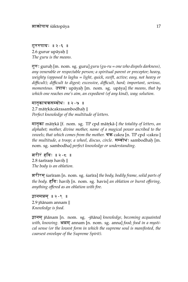गुरुरुपायः ॥ २ - ६ ॥  $2.6$  gurur upāyaḥ  $\parallel$ *The guru is the means.*

गुरुः guruḥ [m. nom. sg. guru] *guru (gu-ru = one who dispels darkness)*, *any venerable or respectable person; a spiritual parent or preceptor; heavy, weighty (opposed to laghu = light, quick, swift, active; easy, not heavy or difficult); difficult to digest; excessive, difficult, hard; important, serious,* momentous. उपाय: upāyaḥ [m. nom. sg. upāya] the means, that by *which one reaches one's aim, an expedient (of any kind), way; solution.*

#### मातृकाचऋसम्बोधः ॥ २ -७ ।

 $2.7\,$ mātṛkā ${\rm c}$ akrasambodhaḥ  $\parallel$ *Perfect knowledge of the multitude of letters.*

मातृ<mark>का</mark> mātṛkā [f. nom. sg. TP cpd mātṛkā-] *the totality of letters, an alphabet; mother, divine mother, name of a magical power ascribed to the vowels; that which comes from the mother.* चक्र cakra [n. TP cpd -cakra-] *the multitude, a troop; a wheel, discus, circle. सम्बोध*ः sambodhaḥ [m. nom. sg. sambodha] *perfect knowledge or understanding.*

शरीरं हविः ॥ २ - ८ ॥  $2.8$  śarīraṃ haviḥ  $\parallel$ *The body is an oblation.*

frFrm^ śar¯ıram [n. nom. sg. śar¯ıra] *the body, bodily frame, solid parts of the body.* हविः haviḥ [n. nom. sg. havis] *an oblation or burnt offering, anything offered as an oblation with fire.*

 $\overline{a}$ ानमन्नम $\overline{a}$  ।। २ - ९ ।। 2.9 jñānam annam || *Knowledge is food.*

ज्ञानम् jñānam [n. nom. sg. -jñāna] knowledge, becoming acquainted with, knowing. अन्नम annam [n. nom. sg. anna] *food; food in a mystical sense (or the lowest form in which the supreme soul is manifested, the coarsest envelope of the Supreme Spirit).*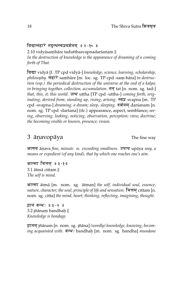#### विद्यासंहारे तद्जुत्थस्वप्नदर्शनम् ॥२-१० ॥

2.10 vidyāsam hāre tadutthas vapnadar śanam || *In the destruction of knowledge is the appearance of dreaming of a coming forth of That.*

विद्या vidyā [f. TP cpd vidyā-] knowledge, science, learning, scholarship, philosophy. संहारे samhāre [m. loc. sg. TP cpd -sam-hāra] *in destruction (esp.) the periodical destruction of the universe at the end of a kalpa; in bringing together, collection, accumulation.*  $\overline{d}$  tat [n. nom. sg. tad-] *that, this, it; this world. उ*त्थ uttha [TP cpd -uttha-] *coming forth, originating, derived from; standing up, rising, arising.* स्वप्न svapna [m. TP] cpd -svapna-] *dreaming, a dream; sleep, sleeping*. दर्शनम् darśanam [n. nom. sg. TP cpd -darśana] (ifc.) appearance, aspect, semblance; *seeing, observing, looking, noticing, observation, perception; view, doctrine; the becoming visible or known, presence; vision.*

### 3 anavopaya The fine way

आणव ānava *fine, minute.* n. *exceeding smallness.* उपाय upāya *way, a means or expedient (of any kind), that by which one reaches one's aim.*

आत्मा चित्तम ॥३ -१॥ 3.1 ātmā cittam || *The self is mind.*

आत्मा ātmā [m. nom. sg. ātman] the self, individual soul, essence, *nature, character; the soul, principle of life and sensation.* चित्तम cittam [n. nom. sg. citta] *the mind, heart; thinking, reflecting, imagining, thought.*

झानं बन्धः ॥३-२ ॥ 3.2 jñānaṃ bandhaḥ  $\parallel$ *Knowledge is bondage.*

ज्ञानम् jñānam [n. nom. sg. jñāna] (*wordly) knowledge, knowing, becoming acquainted with.* बन्धः bandhah [m. nom. sg. bandha] *mundane*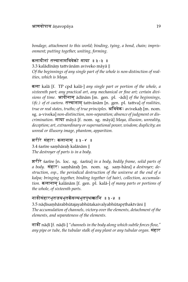#### आणवोपाय ānavopāya  $19$

*bondage, attachment to this world; binding, tying, a bond, chain; imprisonment; putting together, uniting, forming.*

#### कलादीनां तत्त्वानामविवेको माया ॥३ -३ ॥

 $3.3$  kalādīnāṃ tattvānām aviveko māyā  $\parallel$ 

*Of the beginnings of any single part of the whole is non-distinction of realities, which is Maya.*

कला kalā [f. TP cpd kalā-] any single part or portion of the whole, a *sixteenth part; any practical art, any mechanical or fine art; certain divisions of time.* आदीनाम् ādīnām [m. gen. pl. - adi] of the beginnings, *(ifc.) of et caetera.* तत्त्वानाम् tattvānām [n. gen. pl. tattva] of realities, *true or real states, truths; of true principles. अ*विवेक: avivekaḥ [m. nom. sg. a-viveka] *non-distinction, non-separation; absence of judgment or discrimination.* माया māyā [f. nom. sg. māyā] Maya, illusion, unreality, *deception; art, extraordinary or supernational power, wisdom; duplicity; an unreal or illusory image, phantom, apparition.*

#### शरीरे संहारः कलानाम ॥३-४ ॥

3.4 śarīre samhārah kalānām || *The destroyer of parts is in a body.*

frFr śar¯ıre [n. loc. sg. śar¯ıra] *in a body, bodily frame, solid parts of a body. सं*हारः samhārah [m. nom. sg. sam-hāra] *a destroyer; destruction, esp., the periodical destruction of the universe at the end of a kalpa; bringing together, binding together (of hair), collection, accumulation.* कलानाम् kalānām [f. gen. pl. kalā-] of *many parts or portions of the whole, of sixteenth parts.*

#### नाडीसंहारभूतजयभूतकैवल्यभूतपृथत्कानि ॥३*-*५ ।

 $3.5\,$ nāḍī $\,$ saṃhārabhū $\,$ tajayabhū $\,$ takai $\,$ alyabhū $\,$ tapṛ $\,$ thak $\,$ tvāni  $\,$   $\parallel$ *The accumulation of channels, victory over the elements, detachment of the elements, and separateness of the elements.*

नाडी nāḍī [f. nāḍī-] "*channels in the body along which subtle forces flow," any pipe or tube, the tubular stalk of any plant or any tubular organ.* संहार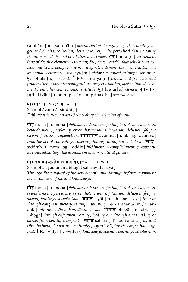saṃhāra [m. -saṃ-hāra-] *accumulation, bringing together, binding together (of hair), collection; destruction esp., the periodical destruction of the universe at the end of a kalpa; a destroyer.* भूत bhuta [n.] *an element (one of the five elements: ether, air, fire, water, earth); that which is or exists, any living being, the world; a spirit, a demon; the past; reality, fact, an actual occurrence.* जय jaya [m.] *victory, conquest, triumph, winning.* भूत bhūta [n.] *element.* कैवल्य kaivalya [n.] *detachment from the soul from matter or other transmigrations, perfect isolation, abstraction, detachment from other connections, beatitude*. भूत bhūta [n.] *element* पृथत्कानि pṛthaktvāni [n. nom. pl. DV cpd pṛthak-tva] *separateness.* 

मोहावरणात्सिद्धिः ॥३ -६ ॥  $3.6$  mohāvaraṇāt siddhiḥ  $\parallel$ *Fulfilment is from an act of concealing the delusion of mind.*

मोह moha [m. moha-] *delusion or darkness of mind; loss of consciousness, bewilderment, perplexity, error, distraction, infatuation, delusion, folly; a swoon, fainting, stupefaction.* आवरणात āvaran at [n. abl. sg. āvarana] *from the act of concealing, covering, hiding; through a bolt, lock.* सिद्धि: siddhih. [f. nom. sg. siddhi] *fulfilment, accomplishment; prosperity, fortune, advantage; the acquisition of supernatural powers.*

#### मोहजयादनन्तभोगात्सहजविद्याजयः ॥३ -७ ॥

 $3.7$  mohajay $\bar{a}$ d anantabhog $\bar{a}$ t sahajavi $\bar{d}$ y $\bar{a}$ jayaḥ  $\parallel$ *Through the conquest of the delusion of mind, through infinite enjoyment is the conquest of natural knowledge.*

मोह moha [m. moha-] *delusion or darkness of mind; loss of consciousness, bewilderment, perplexity, error, distraction, infatuation, delusion, folly; a swoon, fainting, stupefaction.* जयात् jayāt [m. abl. sg. -jaya] *from or through conquest, victory, triumph, winning.* अनन्त ananta [m./n. ananta] *infinite, endless, boundless, eternal.* भोगात bhogat [m. abl. sg. -bhoga] *through enjoyment, eating, feeding on; through any winding or curve; from coil (of a serpent).* सहज sahaja [TP cpd saha-ja-] *natural (ibc., by birth, 'by nature', 'naturally', 'effortless'); innate, congenital, original.* **बिद्मा** vidyā [f. -vidyā-] *knowledge, science, learning, scholarship,*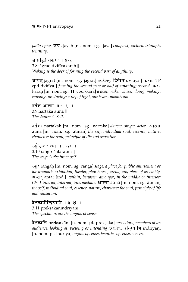$\emph{philosophy.}$  जयः jayaḥ [m. nom. sg. -jaya] *conquest, victory, triumph, winning.*

जाग्रद्दितीयकरः ॥३ - ८ ॥ 3.8 jāgrad dvitīyakaraḥ  $\parallel$ *Waking is the doer of forming the second part of anything.*

जाग्रत jāgrat [m. nom. sg. jāgrat] waking. द्वितीय dvitīya [m./n. TP cpd dvitiya-] *forming the second part or half of anything; second.* कर: karah. [m. nom. sg. TP cpd -kara] *a doer, maker, causer, doing, making, causing, producing; a ray of light, sunbeam, moonbeam.*

```
नर्तक आत्मा ॥३-९ ॥
3.9 nartaka ātmā ||
The dancer is Self.
```
नर्तकः nartakaḥ [m. nom. sg. nartaka] *dancer, singer, actor.* आत्मा ātmā [m. nom. sg. ātman] the self, individual soul, essence, nature, *character; the soul, principle of life and sensation.*

रङ्गोऽन्तरात्मा ॥३ -१० ॥ 3.10 rango 'ntarātmā || *The stage is the inner self.*

रङ्गः raṅgaḥ [m. nom. sg. raṅga] *stage, a place for public amusement or for dramatic exhibition, theater, play-house, arena, any place of assembly.* अन्तर antar [ind.] *within, between, amongst, in the middle or interior; (ibc.) interior, internal, intermediate.* आत्मा ātmā [m. nom. sg. ātman] *the self, individual soul, essence, nature, character; the soul, principle of life and sensation.*

प्रेक्षकाणीन्द्रियाणि ॥३-११ ॥  $3.11 \text{ prekşakāņīndriyāņi} \|$ *The spectators are the organs of sense.*

प्रे<mark>क्षकाणि</mark> prekṣakāṇi [n. nom. pl. prekṣaka] *spectators, members of an* audience; looking at, viewing or intending to view. <mark>इन्द्रियाणि indri</mark>yāṇi [n. nom. pl. indriya] *organs of sense, faculties of sense, senses.*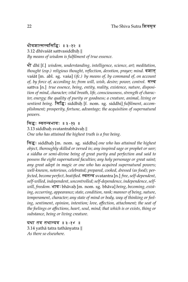धीवशात्सत्त्वसिद्धिः ॥३-१२ ॥  $3.12$  dhīvaśāt sattvasiddhiḥ  $\parallel$ *By means of wisdom is fulfilment of true essence.*

DF dh¯ı [f.] *wisdom, understanding, intelligence, science, art; meditation, thought (esp.) religious thought, reflection, devotion, prayer; mind.* वशात vaśāt [m. abl. sg. vaśa] (*ifc.*) by means of, by command of, on account *of, by force of, according to; from will, wish, desire; power, control. सत्त्व* sattva [n.] *true essence, being, entity, reality, existence, nature, disposition of mind, character; vital breath, life, consciousness, strength of character, energy; the quality of purity or goodness; a creature, animal, living or sentient being.* EsE, siddhih. [f. nom. sg. siddhi] *fulfilment, accomplishment; prosperity, fortune, advantage; the acquisition of supernatural powers.*

सिद्धः स्वतन्त्रभावः ॥३*-*१३ ॥  $3.13$  siddhaḥ svatantrabhāvaḥ  $\parallel$ *One who has attained the highest truth is a free being.*

Es, siddhah. [m. nom. sg. siddha] *one who has attained the highest object, thoroughly skilled or versed in; any inspired sage or prophet or seer; a siddha or semi-divine being of great purity and perfection and said to possess the eight supernatural faculties; any holy personage or great saint; any great adept in magic or one who has acquired supernatural powers; well-known, notorious, celebrated; prepared, cooked, dressed (as food); perfected, become perfect, beatified.* स्वतन्त्र svatantra [n.] *free, self-dependent, self-willed, independent, uncontrolled; self-dependence, independence, self* $will, freedom.$  भावः bhāvaḥ [m. nom. sg. bhāva] *being, becoming, existing, occurring, appearance; state, condition, rank; manner of being, nature, temperament, character; any state of mind or body, way of thinking or feeling, sentiment, opinion, intention; love, affection, attachment; the seat of the feelings or affections, heart, soul, mind; that which is or exists, thing or substance, being or living creature.*

यथा तत्र तथान्यत्र ॥३ -१४ ॥  $3.14$  yathā tatra tathānyatra  $\parallel$ *As there so elsewhere.*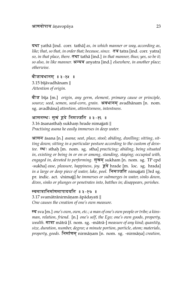यथा yathā [ind. corr. tathā] as, in which manner or way, according as, *like; that, so that, in order that; because, since.* तत्र tatra [ind. corr. yatra] *so, in that place, there.* तथा tatha [ind.] *in that manner, thus; yes, so be it; so also, in like manner.* ay/ anyatra [ind.] *elsewhere, in another place; otherwise.*

बीजावधानम् ॥३ -१५ ॥ 3.15 bījāvadhānam || *Attention of origin.*

bFj b¯ıja [m.] *origin, any germ, element, primary cause or principle, source; seed, semen, seed-corn, grain.* अवधानम avadhānam [n. nom. sg. avadhāna] attention, attentiveness, intentness.

आसनस्थः सुखं हुदे निमज्जति ॥३-१६ ॥  $3.16$  āsanasthaḥ sukhaṃ hrade nimajjati  $\parallel$ *Practising asana he easily immerses in deep water.*

आसन āsana [n.] *asana; seat, place, stool; abiding, dwelling; sitting, sitting down; sitting in a particular posture according to the custom of devo*tee. स्थ: sthaḥ [m. nom. sg. stha] *practicing; abiding, being situated in, existing or being in or on or among, standing, staying; occupied with, engaged in, devoted to performing. सुखम sukham [n. nom. sg. TP cpd* -sukha] *ease, pleasure, happiness, joy.* हुदे hrade [m. loc. sg. hrada] *in a large or deep piece of water, lake, pool.* निमज्जति nimajjati [3rd sg. pr. indic. act. <sup>√</sup> nimajj] *he immerses or submerges in water, sinks down, dives, sinks or plunges or penetrates into, batthes in; disappears, perishes.*

स्वमात्रानिर्माणमापादयति ॥३-१७ ॥ 3.17 svamātrānirmānam āpādayati || *One causes the creation of one's own measure.*

स्व sva [m.] *one's own, own, etc.; a man of one's own people or tribe; a kinsman, relation, friend.* [n.] *one's self, the Ego; one's own goods, property, wealth.* मात्रा mātrā [f. nom. sg. -mātrā-] *measure of any kind; quantity, size, duration, number, degree; a minute portion, particle, atom; materials,* property, goods. निर्माणम् nirmanam [n. nom. sg. -nirmana] *creation*,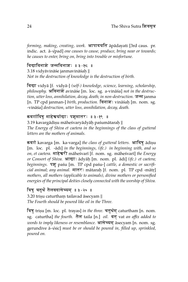*forming, making, creating, work. आपा*दयति āpādayati [3rd caus. pr. indic. act. ā-√pad] *one causes to cause, produce, bring near or towards; he causes to enter, bring on, bring into trouble or misfortune.*

विद्याविनाशे जन्मविनाशः ॥३-१८ ॥  $3.18$  vidyāvināśe janmavināśaḥ  $\parallel$ *Not in the destruction of knowledge is the destruction of birth.*

विद्या vidyā [f. vidyā-] (self-) knowledge, science, learning, scholarship, philosophy. अविनाशे avināśe [m. loc. sg. a-vināśa] not in the destruc*tion, utter loss, annihilation, decay, death; in non-destruction.* जन्म janma [n. TP cpd janman-] *birth, production.* विनाशः vināśaḥ [m. nom. sg. -vināśa] destruction, utter loss, annihilation, decay, death.

#### कवर्गादिषु माहेश्वर्याद्याः पशुमातरः ॥३-१९ ॥

 $3.19~\mathrm{k}$ avargādiṣu māheśvaryādyāḥ paśumātaraḥ  $\parallel$ *The Energy of Shiva et caetera in the beginnings of the class of gutteral letters are the mothers of animals.*

कवर्ग kavarga [m. ka-varga] the class of gutteral letters. आदिषु adisu [m. loc. pl. -ādi] in the beginnings, (ifc.) in beginning with, and so *on, et caetera.* माहेश्वरी māheśvarī [f. nom. sg. māheśvarī] *the Energy or Consort of Shiva. आचाः ādyāḥ [m. nom. pl. ādi] (ifc.) et caetera; beginnings.* पशु paśu [m. TP cpd paśu-] *cattle, a domestic or sacrificial animal; any animal.* मातर: mātaraḥ [f. nom. pl. TP cpd -mātr] *mothers, all mothers (applicable to animals), divine mothers or personified energies of the principal deities closely connected with the worship of Shiva.*

#### त्रिषु चतुर्थं तैलवदासेच्यम ॥३ -२० ॥

 $3.20$  trisu caturtham tailavad āsecyam  $\parallel$ *The Fourth should be poured like oil in the Three.*

त्रिषु trișu [m. loc. pl. trayas] in the three. चतुर्थम caturtham [n. nom. sg. caturtha] *the fourth.* तैल taila [n.] *oil.* वत् vat *an affix added to words to imply likeness or resemblance.* आसेच्यम् āsecyam [n. nom. sg. gerundive a-¯ sic] *must be or should be poured in, filled up, sprinkled, poured on.*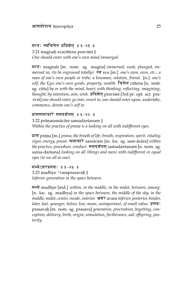#### मग्नः स्वचित्तेन प्रविशेत् ॥३ -२१ ॥

3.21 magnah. svacittena praviśet || *One should enter with one's own mind immerged.*

मग्नः magnaḥ [m. nom. sg. magna] *immersed; sunk, plunged, immersed in; (to be engrossed totally).* स्व sva [m.] *one's own, own, etc.; a man of one's own people or tribe; a kinsman, relation, friend.* [n.] *one's self, the Ego; one's own goods, property, wealth.* चित्तेन cittena [n. instr. sg. citta] *by or with the mind, heart; with thinking, reflecting, imagining, thought; by intention, aim, wish.* प्रविशेत् praviśet [3rd pr. opt. act. praviś] *one should enter, go into, resort to; one should enter upon, undertake, commence, devote one's self to.*

#### प्राणसमाचारे समदर्शनम ॥३ - २२ ॥

3.22 prānasamācāre samadarśanam || *Within the practice of prana is a looking on all with indifferent eyes.*

þAZ pran¯ . a [m.] *prana, the breath of life, breath, respiration, spirit, vitality; vigor, energy, power.* समाचारे samācāre [m. loc. sg. sam-ācāra] within *the practice, procedure, conduct.* समदर्शनम samadarśanam [n. nom. sg. sama-darśana] *looking on all (things and men) with indifferent or equal eyes (to see all as one).*

मध्येऽवरप्रसवः ॥३ - २३ ॥ 3.23 madhye 'varaprasavah. || *Inferior generation in the space between.*

m@y madhye [ind.] *within, in the middle, in the midst, between, among.* [n. loc. sg. madhya] *in the space between, the middle of the sky; in the middle, midst, center, inside, interior.* अवर avara *inferior, posterior, hinder, later, last, younger; below; low, mean, unimportant, of small value.* प्रसवः prasavah. [m. nom. sg. prasava] *generation, procreation, begetting, conception, delivery, birth, origin; simulation, furtherance, aid; offspring, posterity.*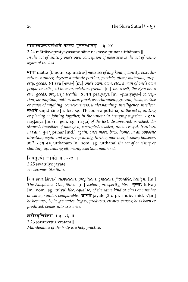#### मात्रास्वप्रत्ययसंधाने नष्टस्य पुनरुत्थानम् ॥३-२४ ॥

 $3.24$  mātrāsvapratyayasaṃdhāne naṣṭasya punar utthānam  $\parallel$ *In the act of uniting one's own conception of measures is the act of rising again of the lost.*

मात्रा mātrā [f. nom. sg. mātrā-] *measure of any kind; quantity, size, duration, number, degree; a minute portion, particle, atom; materials, prop*erty, goods. **Fa** sva [-sva-] [m.] *one's own, own, etc.; a man of one's own people or tribe; a kinsman, relation, friend.* [n.] *one's self, the Ego; one's own goods, property, wealth.* þ(yy pratyaya [m. -pratyaya-] *conception, assumption, notion, idea; proof, ascertainment; ground, basis, motive or cause of anything; consciousness, understanding, intelligence, intellect.* संधाने samdhāne [n. loc. sg. TP cpd -samdhāna] *in the act of uniting or placing or joining together, in the union; in bringing together.*  $\overline{P}$ naṣṭasya [m./n. gen. sg. naṣṭa] *of the lost, disappeared, perished, destroyed, invisible; of damaged, corrupted, wasted, unsuccessful, fruitless, in vain.* **Fromar [ind.]** *again, once more; back, home, in an opposite direction; again and again, repeatedly; further, moreover, besides; however, still.* उत्थानम utthānam [n. nom. sg. utthā na] the act of or rising or *standing up; leaving off; manly exertion, manhood.*

शिवतुल्यो जायते ॥३-२५ ॥ 3.25 śivatulyo jāyate || *He becomes like Shiva.*

Efv śiva [śiva-] *auspicious, propitious, gracious, favorable, benign.* [m.] *The Auspicious One, Shiva.* [n.] *welfare, prosperity, bliss.* तुल्य: tulyah. [m. nom. sg. tulya] *like, equal to, of the same kind or class or number* √ *or value, similar, comparable. जायते j*āyate [3rd pr. indic. mid. √jan] *he becomes, is; he generates, begets, produces, creates, causes; he is born or produced, comes into existence.*

#### शरीरवृत्तिर्व्रतम् ॥३ -२६ ।

 $3.26$  śarīravṛttir vratam  $\parallel$ *Maintenance of the body is a holy practice.*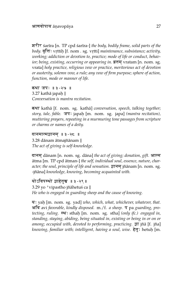frFr śar¯ıra [n. TP cpd śar¯ıra-] *the body, bodily frame, solid parts of the*  $\emph{body}.$  वृत्तिः vṛttiḥ [f. nom . sg. vṛtti] *maintenance, subsistance; activity, working; addiction or devotion to, practice; mode of life or conduct, behavior; being, existing, occurring or appearing in.*  $\overline{a}$ <del>dH</del> vratam [n. nom. sg. vrata] *holy practice, religious vow or practice, meritorious act of devotion or austerity, solemn vow, a rule; any vow of firm purpose; sphere of action, function, mode or manner of life.*

कथा जपः ॥३ - २७ ॥  $3.27$  kathā japaḥ  $\parallel$ *Conversation is mantra recitation.*

कथा kathā [f. nom. sg. kathā] *conversation, speech, talking together; story, tale, fable.* जपः japaḥ [m. nom. sg. japa] *(mantra recitation), muttering prayers, repeating in a murmuring tone passages from scripture or charms or names of a deity.*

दानमात्मज्ञानम् ॥ ३ - २८ ॥ 3.28 dānam ātmajñānam || *The act of giving is self-knowledge.*

दानम् dānam [n. nom. sg. dāna] the act of giving; donation, gift. आत्म ātma [m. TP cpd ātman-] the self, individual soul, essence, nature, char*acter; the soul, principle of life and sensation.* ज्ञानम jñānam [n. nom. sg. -jñāna] knowledge, knowing, becoming acquainted with.

योऽविपस्थो जाहेतस्र ॥३ - २९ ॥ 3.29 yo 'vipastho jñāhetuś ca || *He who is engaged in guarding sheep and the cause of knowing.*

य: yaḥ [m. nom. sg. yad] *who, which, what, whichever, whatever, that.* अवि avi *favorable, kindly disposed.* m./f. *a sheep.* प pa *guarding, pro*tecting, ruling. स्थ: sthah [m. nom. sg. stha] *(only ifc.) engaged in*, *standing, staying, abiding, being situated in, existing or being in or on or among; occupied with, devoted to performing, practicing.*  $\overline{s}$ T jñā [f. jña] knowing, familiar with; intelligent, having a soul, wise. हेतुः hetuh [m.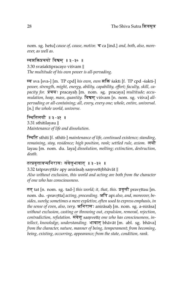nom. sg. hetu] *cause of, cause, motive*. च ca [ind.] *and, both, also, moreover, as well as.*

#### स्वशक्तिप्रचयो विश्वम् ॥३ - ३० ॥

3.30 svaśaktipracayo viśvam || *The multitude of his own power is all-pervading.*

स्व sva [sva-] [m. TP cpd] *his own, own* शक्ति śakti [f. TP cpd -śakti-] *power, strength, might, energy, ability, capability, effort; faculty, skill, ca*pacity for. प्रचयः pracayaḥ [m. nom. sg. pracaya] *multitude; accumulation, heap, mass, quantity.* विश्वम् viśvam [n. nom. sg. viśva] all*pervading or all-containing; all, every, every one; whole, entire, universal.* [n.] *the whole world, universe.*

स्थितिलयौ ॥३ -३१ ॥ 3.31 sthitilayau || *Maintenance of life and dissolution.*

E-TEt sthiti [f. sthiti-] *maintenance of life, continued existence; standing, remaining, stay, residence; high position, rank; settled rule, axiom.* लयौ layau [m. nom. du. laya] *dissolution, melting; extinction, destruction, death.*

#### तत्प्रवृत्तावप्यनिरासः संवेत्तृभावात् ॥३ -३२ ।

 $3.32$  tatpravrttāv apy anirāsah samvettrbhāvāt  $\parallel$ *Also without exclusion, this world and acting are both from the character of one who has consciousness.*

तत् tat [n. nom. sg. tad-] *this world; it, that, this. प्रवृत्तौ pravr*.ttau [m. nom. du. -pravṛtta] *acting, proceeding. अपि api also, and, moreover, besides, surely; sometimes a mere expletive, often used to express emphasis, in the sense of even, also, very. अ*निरासः anirāsaḥ [m. nom. sg. a-nirāsa] *without exclusion, casting or throwing out, expulsion, removal, rejection,* contradiction, refutation. संवेत्त् samvettr*one who has consciousness, intellect, knowledge, understanding.* भावात् bhāvāt [m. abl. sg. bhāva] *from the character, nature, manner of being, temperament; from becoming, being, existing, occurring, appearance; from the state, condition, rank.*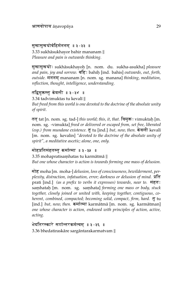### सुखासुखयोर्बहिर्मननम् ॥३ -३३ ॥

3.33 sukhāsukhayor bahir mananam || *Pleasure and pain is outwards thinking.*

सुखासुखयोः sukhāsukhayoḥ [n. nom. du. sukha-asukha] *pleasure and pain, joy and sorrow. बहि*: bahiḥ [ind. bahis] *outwards, out, forth, outside.* mnnm^ mananam [n. nom. sg. manana] *thinking, meditation, reflection, thought, intelligence, understanding.*

#### तद्विमुक्तस्तु केवली $\parallel$  ॥ ३ - ३४  $\parallel$ ॥

3.34 tadvimuktas tu kevalī || *But freed from this world is one devoted to the doctrine of the absolute unity of spirit.*

तत् tat [n. nom. sg. tad-] *this world; this, it, that.* विमुक्त: vimuktaḥ [m. nom. sg. -vimukta] *freed or delivered or escaped from, set free, liberated (esp.) from mundane existence.* तु tu [ind.] *but, now, then.* केवली kevalī [m. nom. sg. kevalin] *"devoted to the doctrine of the absolute unity of spirit", a meditative ascetic; alone, one, only.*

#### मोहप्रतिसंहतस्तु कर्मात्मा $\parallel$  । ३ - ३५ $\parallel$

3.35 mohapratisamhatas tu karmātmā  $\parallel$ *But one whose character is action is towards forming one mass of delusion.*

moh moha [m. moha-] *delusion, loss of consciousness, bewilderment, perplexity, distraction, infatuation, error; darkness or delusion of mind.* प्रति prati [ind.] *(as a prefix to verbs it expresses) towards, near to.* संहत: saṃhataḥ [m. nom. sg. saṃhata] *forming one mass or body, stuck together, closely joined or united with, keeping together, contiguous, co*herent, combined, compacted; becoming solid, compact, firm, hard.  $\overline{g}$  tu [ind.] *but, now, then.* कर्मात्मा karmātmā [m. nom. sg. karmātman] *one whose character is action, endowed with principles of action, active, acting.*

भेदतिरस्कारे सर्गान्तरकर्मत्वम् ॥३*-*३६ ॥  $3.36$  bhedatiraskāre sargāntarakarmatvam  $\parallel$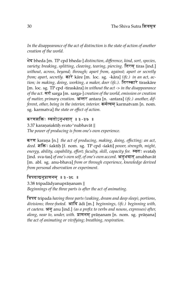*In the disappearance of the act of distinction is the state of action of another creation of the world.*

Bd bheda [m. TP cpd bheda-] *distinction, difference, kind, sort, species, variety; breaking, splitting, cleaving, tearing, piercing.* तिरस tiras [ind.] *without, across, beyond; through; apart from, against; apart or secretly from; apart, secretly.*  $\overrightarrow{anx}$  kāre [m. loc. sg. -kāra] *(ifc.) in an act, action; in making, doing, working, a maker, doer (ifc.).* तिरस्कारे tiraskare [m. loc. sg. TP cpd -tiraskāra] *in without the act -> in the disappearance of the act.* सर्ग sarga [m. sarga-] *creation of the world, emission or creation of matter, primary creation.* अन्तर antara [n. -antara] *(ifc.) another, different, other, being in the interior, interior.* कर्मत्वम karmatvam [n. nom. sg. karmatva] *the state or effect of action.*

#### करणशक्तिः स्वतोऽनुभवात ॥३ -३७ ॥

3.37 karaṇaśaktiḥ svato<mark>'nubhavāt</mark> || *The power of producing is from one's own experience.*

करण karana [n.] *the act of producing, making, doing, effecting; an act, deed.* fEÄ, śaktih. [f. nom. sg. TP cpd -śakti] *power, strength, might, energy, ability, capability, effort; faculty, skill, capacity for.* स्वतः svatah [ind. sva-tas] *of one's own self, of one's own accord*. अनुभवात anubhavat [m. abl. sg. anu-bhava] *from or through experience, knowledge derived from personal observation or experiment.*

त्रिपदाद्यनुप्राणनम ॥३ -३८ ॥

 $3.38$  tripadādyanuprānanam  $\parallel$ *Beginnings of the three parts is after the act of animating.*

त्रिपद tripada *having three parts (waking, dream and deep sleep), portions,* divisions; three-footed. आदि adi [m.] beginnings, (ifc.) beginning with, *et caetera.* अनु anu [ind.] *(as a prefix to verbs and nouns, expresses) after, along, near to, under, with.* **प्राणनम** prānanam [n. nom. sg. prānana] *the act of animating or vivifying; breathing, respiration.*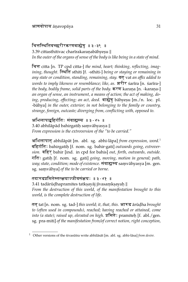#### चित्तस्थितिवच्छरीरकरणबाह्येषु ॥३-३९ ॥

3.39 cittasthitivac charīrakaranabāhyesu || *In the outer of the organs of sense of the body is like being in a state of mind.*

Ec citta [n. TP cpd citta-] *the mind, heart; thinking, reflecting, imagining, thought.* स्थिति sthiti [f. -sthiti-] *being or staying or remaining in any state or condition, standing, remaining, stay.* वत् vat *an affix added to words to imply likeness or resemblance; like, as.* शरीर sarīra [n. śarīra-] *the body, bodily frame, solid parts of the body.*  $\overline{r}$  karana [n. -karana-] *an organ of sense, an instrument, a means of action; the act of making, doing, producing, effecting; an act, deed.* बाह्येषु bahyesu [m./n. loc. pl. -bāhya] in the outer, exterior; in not belonging to the family or country, *strange, foreign, outcaste; diverging from, conflicting with, opposed to.*

अभिलापाद्बहिर्गतिः संवाह्यस्य ॥३-४० ॥  $3.40$  abhilāpād bahirgatiḥ saṃvāhyasya  $\parallel$ *From expression is the extroversion of the "to be carried."*

अभिलापात abhilāpāt [m. abl. sg. abhi-lāpa] *from expression, word.*<sup>1</sup> बहिर्गति: bahirgatiḥ [f. nom. sg. bahir-gati] *outwards going, extroversion.* बहिर bahir [ind. in cpd for bahis] *out, forth, outwards, outside.* गतिः gatih [f. nom. sg. gati] *going, moving, motion in general; path, way; state, condition; mode of existence*. संवाह्यस्य samvāhyasya [m. gen. sg. samvāhya] of the to be carried or borne.

#### तदारूढप्रमितेस्तत्क्षयाज्जीवसंक्षयः ॥३ - ४१ ॥

 $3.41$  tadārūḍhapramites tatkṣayāj jīvasaṃkṣayaḥ  $\parallel$ *From the destruction of this world, of the manifestation brought to this world, is the complete destruction of life.*

तत tat [n. nom. sg. tad-] *this world; it, that, this.* आरूढ ārūdha *brought to (often used in compounds), reached; having reached or attained, come into (a state); raised up, elevated on high. प्र*मितेः pramiteḥ [f. abl./gen. sg. pra-miti] *of the manifestation from/of correct notion, right conception,*

 $1$  Other versions of the śivasūtra write abhilāsāt [m. abl. sg. abhi-lāsa] *from desire*.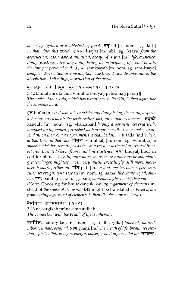*knowledge gained or established by proof.* तत tat [n. nom. sg. tad-] *it, that, this; this world. क्षयात ksayat [m. abl. sg. ksaya] from the destruction, loss, waste, diminution, decay.* जीव jīva [m.] *life, existence; living, existing, alive; any living being; the principle of life, vital breath, the living or personal soul. संक्षय*: samkṣayaḥ [m. nom. sg. sam-kṣaya] *complete destruction or consumption, wasting, decay, disappearance; the dissolution of all things, destruction of the world.*

#### भुतकञ्चकी तदा विमुक्तो भयः पतिसमः परः ॥३ -४२ ॥

 $3.42$  bhūtakañ $\cosh$  tadā vimukto bhūyah patisamah parah  $\parallel$ *The snake of the world, which has recently casts its skin, is then again like the supreme Lord.*

भूत bhūta [n.] *that which is or exists, any living being, the world; a spirit, a demon; an element; the past; reality, fact, an actual occurrence.* कच्चकी kañcukī [m. nom. sg. -kañcukin] *having a garment, covered with, wrapped up in; mailed; furnished with armor or mail.* [m.] *a snake, an attendant on the woman's apartments, a chamberlain.* तदा tada [ind.] *then, at that time, in that case.* विमुक्तः vimuktaḥ [m. nom. sg. -vimukta] (a *snake) which has recently casts its skin; freed or delivered or escaped from, set free, liberated (esp.) from mundane existence. भूय*: bhūyaḥ [ind. in cpd for bhūyas-] *again, once more; more, more numerous or abundant*, *greater, larger, mightier; most, very much, exceedingly; still more, moreover, besides, further on.* **TH** pati [m.] *a lord, master, owner, possessor,* ruler, sovereign. समः samaḥ [m. nom. sg. sama] like, same, equal, sim*ilar.* पर: paraḥ [m. nom. sg. para] *supreme, highest, chief; beyond.* (Note: Choosing for bhūtakañcukī having a garment of elements instead of *the snake of the world* 3.42 might be translated as *Freed again from having a garment of elements is then like the supreme Lord.*)

#### नैसर्गिकः प्राणसम्बन्धः ॥३ - ४३ ॥

 $3.43$  naisargikaḥ prāṇa $\operatorname{s}$ ambandhaḥ  $\parallel$ *The connection with the breath of life is inherent.*

नैसर्गिकः naisargikaḥ [m. nom. sg. naiḥsargika] *inherent, natural,* inborn, *innate, original*. **ATT** prāna [m.] *the breath of life, breath, respiration, spirit, vitality; vigor, energy, power; a vital organ, vital air. सम्बन्ध:*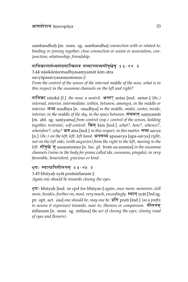sambandhah. [m. nom. sg. sambandha] *connection with or related to; binding or joining together, close connection or union or association, conjunction; relationship, friendship.*

#### नासिकान्तर्मध्यसंयमात्किमत्र सव्यापसव्यसौषुम्नेषु ॥३-४४ ॥

3.44 nāsikāntarmadhyasamyamāt kim atra savyāpasavyasausumnesu ||

*From the control of the senses of the internal middle of the nose, what is in this respect in the susumna channels on the left and right?*

नासिका nāsikā [f.] *the nose; a nostril. अन्तर antar* [ind. antar-] *(ibc.) internal, interior, intermediate; within, between, amongst, in the middle or interior.* m@y madhya [n. -madhya] *in the middle, midst, center, inside, interior; in the middle of the sky, in the space between.* संयमात samyamāt [m. abl. sg. samyama] *from control (esp.)* control of the senses, holding *together, restraint, self-control.* Ekm^ kim [ind.] *what?, how?, whence?, wherefore?, why?* अत्र atra [ind.] *in this respect, in this matter.* सब्य savya [n.] *(ibc.)* on the left; left, left hand. अपसंब्य apasavya [apa-savya] *right, not on the left side; (with auguries) from the right to the left, moving to the left.* सौषुम्ने सु sausumnesu [n. loc. pl. from su-sumna] in the susumna *channels (veins in the body for prana called ida, susumna, pingala); in very favorable, benevolent, gracious or kind.*

#### भूयः स्यात्प्रतिमीलनम**ा। ३ - ४५ ॥**

 $3.45$  bhūyaḥ syāt pratimīlanam  $\parallel$ *Again one should be towards closing the eyes.*

भू<mark>यः</mark> bhūyaḥ [ind. in cpd for bhūyas-] *again, once more; moreover, still more, besides, further on; most, very much, exceedingly.* स्यात syat [3rd sg. *ntore, bestacer, jar mer on, most, ver y maen, exectants, of* a tree by at ford by.<br>pr. opt. act. √as] one should be, may one be. प्रति prati [ind.] *(as a prefix to nouns it expresses) towards, near to; likeness or comparison.* मीलनम mīlanam [n. nom. sg. mīlana] *the act of closing the eyes; closing (said of eyes and flowers).*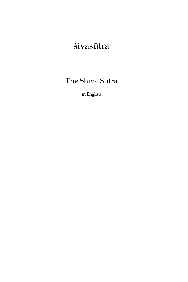# śivasūtra

# The Shiva Sutra

in English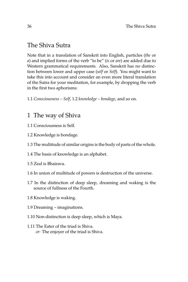### The Shiva Sutra

Note that in a translation of Sanskrit into English, particles (*the* or *a*) and implied forms of the verb "to be" (*is* or *are*) are added due to Western grammatical requirements. Also, Sanskrit has no distinction between lower and upper case (*self* or *Self*). You might want to take this into account and consider an even more literal translation of the Sutra for your meditation, for example, by dropping the verb in the first two aphorisms:

1.1 *Consciousness – Self*, 1.2 *knowledge – bondage*, and so on.

### 1 The way of Shiva

- 1.1 Consciousness is Self.
- 1.2 Knowledge is bondage.
- 1.3 The multitude of similar origins is the body of parts of the whole.
- 1.4 The basis of knowledge is an alphabet.
- 1.5 Zeal is Bhairava.
- 1.6 In union of multitude of powers is destruction of the universe.
- 1.7 In the distinction of deep sleep, dreaming and waking is the source of fullness of the Fourth.
- 1.8 Knowledge is waking.
- 1.9 Dreaming imaginations.
- 1.10 Non-distinction is deep sleep, which is Maya.
- 1.11 The Eater of the triad is Shiva. *or:* The enjoyer of the triad is Shiva.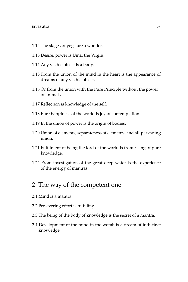- 1.12 The stages of yoga are a wonder.
- 1.13 Desire, power is Uma, the Virgin.
- 1.14 Any visible object is a body.
- 1.15 From the union of the mind in the heart is the appearance of dreams of any visible object.
- 1.16 Or from the union with the Pure Principle without the power of animals.
- 1.17 Reflection is knowledge of the self.
- 1.18 Pure happiness of the world is joy of contemplation.
- 1.19 In the union of power is the origin of bodies.
- 1.20 Union of elements, separateness of elements, and all-pervading union.
- 1.21 Fulfilment of being the lord of the world is from rising of pure knowledge.
- 1.22 From investigation of the great deep water is the experience of the energy of mantras.

### 2 The way of the competent one

- 2.1 Mind is a mantra.
- 2.2 Persevering effort is fulfilling.
- 2.3 The being of the body of knowledge is the secret of a mantra.
- 2.4 Development of the mind in the womb is a dream of indistinct knowledge.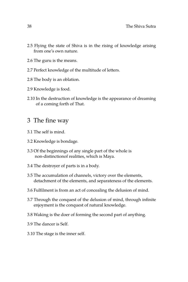- 2.5 Flying the state of Shiva is in the rising of knowledge arising from one's own nature.
- 2.6 The guru is the means.
- 2.7 Perfect knowledge of the multitude of letters.
- 2.8 The body is an oblation.
- 2.9 Knowledge is food.
- 2.10 In the destruction of knowledge is the appearance of dreaming of a coming forth of That.

### 3 The fine way

- 3.1 The self is mind.
- 3.2 Knowledge is bondage.
- 3.3 Of the beginnings of any single part of the whole is non-distinctionof realities, which is Maya.
- 3.4 The destroyer of parts is in a body.
- 3.5 The accumulation of channels, victory over the elements, detachment of the elements, and separateness of the elements.
- 3.6 Fulfilment is from an act of concealing the delusion of mind.
- 3.7 Through the conquest of the delusion of mind, through infinite enjoyment is the conquest of natural knowledge.
- 3.8 Waking is the doer of forming the second part of anything.
- 3.9 The dancer is Self.
- 3.10 The stage is the inner self.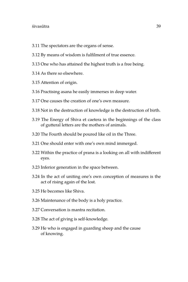#### $\sim$ śivasūtra  $39$

- 3.11 The spectators are the organs of sense.
- 3.12 By means of wisdom is fulfilment of true essence.
- 3.13 One who has attained the highest truth is a free being.
- 3.14 As there so elsewhere.
- 3.15 Attention of origin.
- 3.16 Practising asana he easily immerses in deep water.
- 3.17 One causes the creation of one's own measure.
- 3.18 Not in the destruction of knowledge is the destruction of birth.
- 3.19 The Energy of Shiva et caetera in the beginnings of the class of gutteral letters are the mothers of animals.
- 3.20 The Fourth should be poured like oil in the Three.
- 3.21 One should enter with one's own mind immerged.
- 3.22 Within the practice of prana is a looking on all with indifferent eyes.
- 3.23 Inferior generation in the space between.
- 3.24 In the act of uniting one's own conception of measures is the act of rising again of the lost.
- 3.25 He becomes like Shiva.
- 3.26 Maintenance of the body is a holy practice.
- 3.27 Conversation is mantra recitation.
- 3.28 The act of giving is self-knowledge.
- 3.29 He who is engaged in guarding sheep and the cause of knowing.